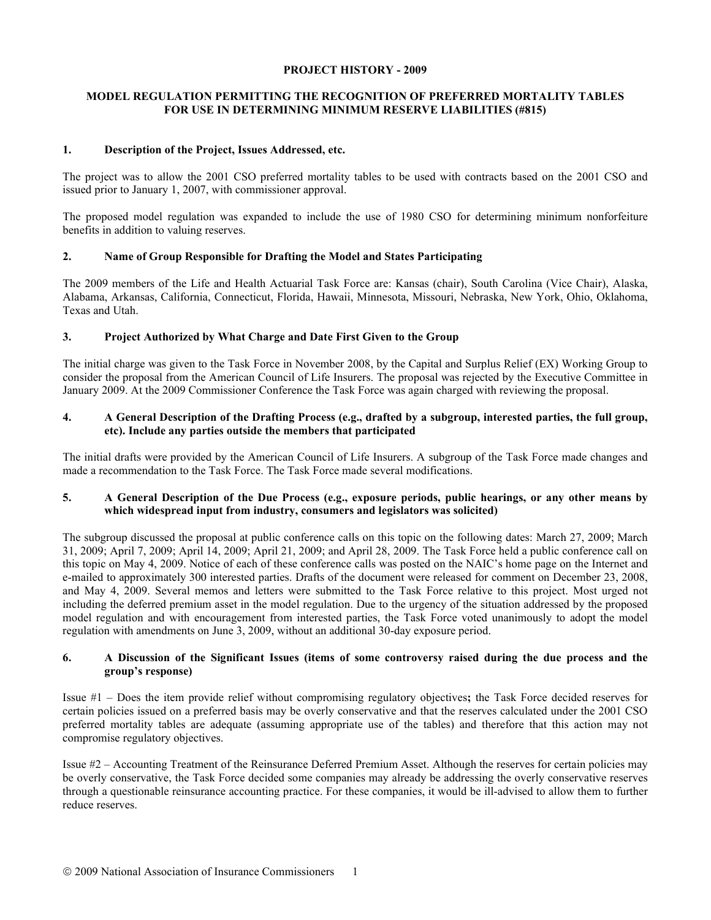### **PROJECT HISTORY - 2009**

# **MODEL REGULATION PERMITTING THE RECOGNITION OF PREFERRED MORTALITY TABLES FOR USE IN DETERMINING MINIMUM RESERVE LIABILITIES (#815)**

# **1. Description of the Project, Issues Addressed, etc.**

The project was to allow the 2001 CSO preferred mortality tables to be used with contracts based on the 2001 CSO and issued prior to January 1, 2007, with commissioner approval.

The proposed model regulation was expanded to include the use of 1980 CSO for determining minimum nonforfeiture benefits in addition to valuing reserves.

# **2. Name of Group Responsible for Drafting the Model and States Participating**

The 2009 members of the Life and Health Actuarial Task Force are: Kansas (chair), South Carolina (Vice Chair), Alaska, Alabama, Arkansas, California, Connecticut, Florida, Hawaii, Minnesota, Missouri, Nebraska, New York, Ohio, Oklahoma, Texas and Utah.

# **3. Project Authorized by What Charge and Date First Given to the Group**

The initial charge was given to the Task Force in November 2008, by the Capital and Surplus Relief (EX) Working Group to consider the proposal from the American Council of Life Insurers. The proposal was rejected by the Executive Committee in January 2009. At the 2009 Commissioner Conference the Task Force was again charged with reviewing the proposal.

# **4. A General Description of the Drafting Process (e.g., drafted by a subgroup, interested parties, the full group, etc). Include any parties outside the members that participated**

The initial drafts were provided by the American Council of Life Insurers. A subgroup of the Task Force made changes and made a recommendation to the Task Force. The Task Force made several modifications.

### **5. A General Description of the Due Process (e.g., exposure periods, public hearings, or any other means by which widespread input from industry, consumers and legislators was solicited)**

The subgroup discussed the proposal at public conference calls on this topic on the following dates: March 27, 2009; March 31, 2009; April 7, 2009; April 14, 2009; April 21, 2009; and April 28, 2009. The Task Force held a public conference call on this topic on May 4, 2009. Notice of each of these conference calls was posted on the NAIC's home page on the Internet and e-mailed to approximately 300 interested parties. Drafts of the document were released for comment on December 23, 2008, and May 4, 2009. Several memos and letters were submitted to the Task Force relative to this project. Most urged not including the deferred premium asset in the model regulation. Due to the urgency of the situation addressed by the proposed model regulation and with encouragement from interested parties, the Task Force voted unanimously to adopt the model regulation with amendments on June 3, 2009, without an additional 30-day exposure period.

# **6. A Discussion of the Significant Issues (items of some controversy raised during the due process and the group's response)**

Issue #1 – Does the item provide relief without compromising regulatory objectives**;** the Task Force decided reserves for certain policies issued on a preferred basis may be overly conservative and that the reserves calculated under the 2001 CSO preferred mortality tables are adequate (assuming appropriate use of the tables) and therefore that this action may not compromise regulatory objectives.

Issue #2 – Accounting Treatment of the Reinsurance Deferred Premium Asset. Although the reserves for certain policies may be overly conservative, the Task Force decided some companies may already be addressing the overly conservative reserves through a questionable reinsurance accounting practice. For these companies, it would be ill-advised to allow them to further reduce reserves.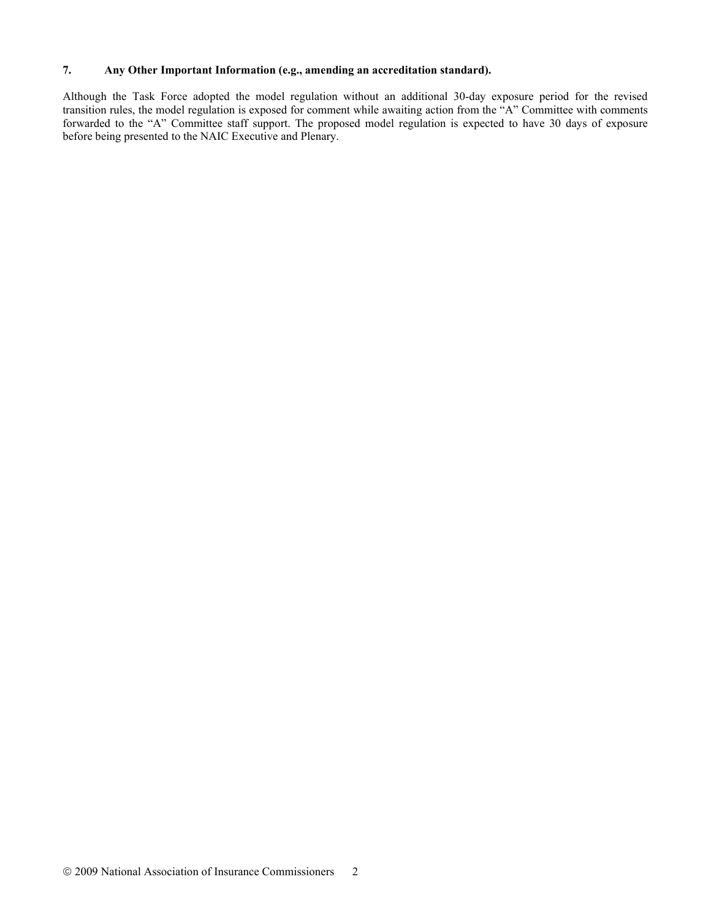### **7. Any Other Important Information (e.g., amending an accreditation standard).**

Although the Task Force adopted the model regulation without an additional 30-day exposure period for the revised transition rules, the model regulation is exposed for comment while awaiting action from the "A" Committee with comments forwarded to the "A" Committee staff support. The proposed model regulation is expected to have 30 days of exposure before being presented to the NAIC Executive and Plenary.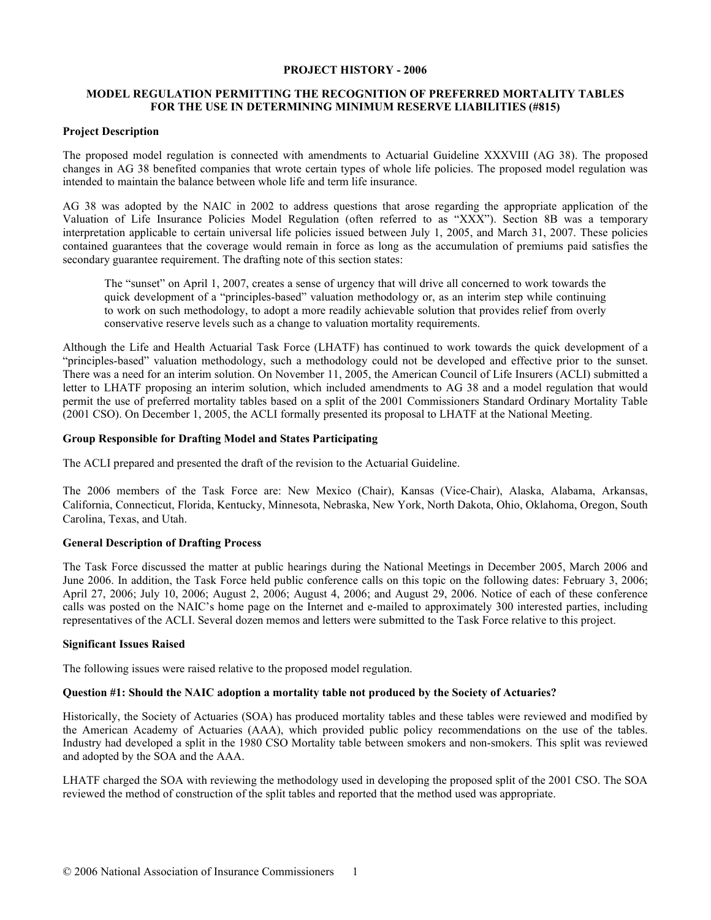#### **PROJECT HISTORY - 2006**

### **MODEL REGULATION PERMITTING THE RECOGNITION OF PREFERRED MORTALITY TABLES FOR THE USE IN DETERMINING MINIMUM RESERVE LIABILITIES (#815)**

#### **Project Description**

The proposed model regulation is connected with amendments to Actuarial Guideline XXXVIII (AG 38). The proposed changes in AG 38 benefited companies that wrote certain types of whole life policies. The proposed model regulation was intended to maintain the balance between whole life and term life insurance.

AG 38 was adopted by the NAIC in 2002 to address questions that arose regarding the appropriate application of the Valuation of Life Insurance Policies Model Regulation (often referred to as "XXX"). Section 8B was a temporary interpretation applicable to certain universal life policies issued between July 1, 2005, and March 31, 2007. These policies contained guarantees that the coverage would remain in force as long as the accumulation of premiums paid satisfies the secondary guarantee requirement. The drafting note of this section states:

The "sunset" on April 1, 2007, creates a sense of urgency that will drive all concerned to work towards the quick development of a "principles-based" valuation methodology or, as an interim step while continuing to work on such methodology, to adopt a more readily achievable solution that provides relief from overly conservative reserve levels such as a change to valuation mortality requirements.

Although the Life and Health Actuarial Task Force (LHATF) has continued to work towards the quick development of a "principles-based" valuation methodology, such a methodology could not be developed and effective prior to the sunset. There was a need for an interim solution. On November 11, 2005, the American Council of Life Insurers (ACLI) submitted a letter to LHATF proposing an interim solution, which included amendments to AG 38 and a model regulation that would permit the use of preferred mortality tables based on a split of the 2001 Commissioners Standard Ordinary Mortality Table (2001 CSO). On December 1, 2005, the ACLI formally presented its proposal to LHATF at the National Meeting.

#### **Group Responsible for Drafting Model and States Participating**

The ACLI prepared and presented the draft of the revision to the Actuarial Guideline.

The 2006 members of the Task Force are: New Mexico (Chair), Kansas (Vice-Chair), Alaska, Alabama, Arkansas, California, Connecticut, Florida, Kentucky, Minnesota, Nebraska, New York, North Dakota, Ohio, Oklahoma, Oregon, South Carolina, Texas, and Utah.

### **General Description of Drafting Process**

The Task Force discussed the matter at public hearings during the National Meetings in December 2005, March 2006 and June 2006. In addition, the Task Force held public conference calls on this topic on the following dates: February 3, 2006; April 27, 2006; July 10, 2006; August 2, 2006; August 4, 2006; and August 29, 2006. Notice of each of these conference calls was posted on the NAIC's home page on the Internet and e-mailed to approximately 300 interested parties, including representatives of the ACLI. Several dozen memos and letters were submitted to the Task Force relative to this project.

#### **Significant Issues Raised**

The following issues were raised relative to the proposed model regulation.

#### **Question #1: Should the NAIC adoption a mortality table not produced by the Society of Actuaries?**

Historically, the Society of Actuaries (SOA) has produced mortality tables and these tables were reviewed and modified by the American Academy of Actuaries (AAA), which provided public policy recommendations on the use of the tables. Industry had developed a split in the 1980 CSO Mortality table between smokers and non-smokers. This split was reviewed and adopted by the SOA and the AAA.

LHATF charged the SOA with reviewing the methodology used in developing the proposed split of the 2001 CSO. The SOA reviewed the method of construction of the split tables and reported that the method used was appropriate.